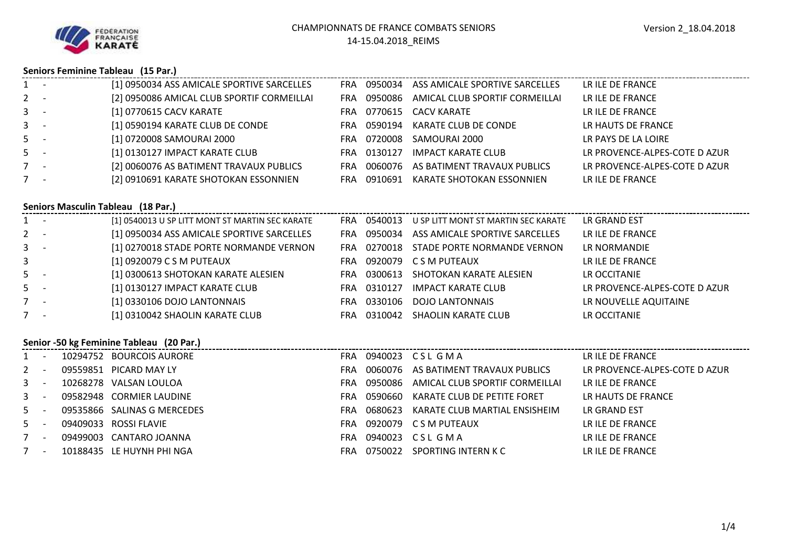

### **Seniors Feminine Tableau (15 Par.)**

| $1 -$ | [1] 0950034 ASS AMICALE SPORTIVE SARCELLES |     |         | FRA 0950034 ASS AMICALE SPORTIVE SARCELLES | LR ILE DE FRANCE              |
|-------|--------------------------------------------|-----|---------|--------------------------------------------|-------------------------------|
| $2 -$ | [2] 0950086 AMICAL CLUB SPORTIF CORMEILLAI | FRA |         | 0950086 AMICAL CLUB SPORTIF CORMEILLAI     | LR ILE DE FRANCE              |
| $3 -$ | [1] 0770615 CACV KARATE                    | FRA |         | 0770615 CACV KARATE                        | LR ILE DE FRANCE              |
| $3 -$ | [1] 0590194 KARATE CLUB DE CONDE           | FRA |         | 0590194 KARATE CLUB DE CONDE               | LR HAUTS DE FRANCE            |
| $5 -$ | [1] 0720008 SAMOURAI 2000                  | FRA | 0720008 | SAMOURAI 2000                              | LR PAYS DE LA LOIRE           |
| $5 -$ | [1] 0130127 IMPACT KARATE CLUB             | FRA | 0130127 | IMPACT KARATE CLUB                         | LR PROVENCE-ALPES-COTE D AZUR |
| $7 -$ | [2] 0060076 AS BATIMENT TRAVAUX PUBLICS    | FRA |         | 0060076 AS BATIMENT TRAVAUX PUBLICS        | LR PROVENCE-ALPES-COTE D AZUR |
| $7 -$ | [2] 0910691 KARATE SHOTOKAN ESSONNIEN      | FRA | 0910691 | KARATE SHOTOKAN ESSONNIEN                  | LR ILE DE FRANCE              |
|       |                                            |     |         |                                            |                               |

### **Seniors Masculin Tableau (18 Par.)**

|       | [1] 0540013 U SP LITT MONT ST MARTIN SEC KARATE | FRA        |         | 0540013 U SP LITT MONT ST MARTIN SEC KARATE | LR GRAND EST                  |
|-------|-------------------------------------------------|------------|---------|---------------------------------------------|-------------------------------|
| $2 -$ | [1] 0950034 ASS AMICALE SPORTIVE SARCELLES      | <b>FRA</b> | 0950034 | ASS AMICALE SPORTIVE SARCELLES              | LR ILE DE FRANCE              |
| $3 -$ | [1] 0270018 STADE PORTE NORMANDE VERNON         | FRA        |         | 0270018 STADE PORTE NORMANDE VERNON         | LR NORMANDIE                  |
| 3     | [1] 0920079 C S M PUTEAUX                       | FRA.       |         | 0920079 CSM PUTEAUX                         | LR ILE DE FRANCE              |
| $5 -$ | [1] 0300613 SHOTOKAN KARATE ALESIEN             | FRA.       | 0300613 | SHOTOKAN KARATE ALESIEN                     | LR OCCITANIE                  |
| $5 -$ | [1] 0130127 IMPACT KARATE CLUB                  | <b>FRA</b> | 0310127 | <b>IMPACT KARATE CLUB</b>                   | LR PROVENCE-ALPES-COTE D AZUR |
| $7 -$ | [1] 0330106 DOJO LANTONNAIS                     | FRA.       | 0330106 | DOJO LANTONNAIS                             | LR NOUVELLE AQUITAINE         |
| $7 -$ | [1] 0310042 SHAOLIN KARATE CLUB                 | <b>FRA</b> | 0310042 | SHAOLIN KARATE CLUB                         | LR OCCITANIE                  |

### **Senior -50 kg Feminine Tableau (20 Par.)**

| $1 -$   |  | 10294752 BOURCOIS AURORE    | <b>FRA</b> |         | 0940023 CSLGMA                         | LR ILE DE FRANCE              |
|---------|--|-----------------------------|------------|---------|----------------------------------------|-------------------------------|
| $2 -$   |  | 09559851 PICARD MAY LY      | FRA        |         | 0060076 AS BATIMENT TRAVAUX PUBLICS    | LR PROVENCE-ALPES-COTE D AZUR |
| $3 -$   |  | 10268278 VALSAN LOULOA      | FRA        |         | 0950086 AMICAL CLUB SPORTIF CORMEILLAI | LR ILE DE FRANCE              |
| $3 - 1$ |  | 09582948 CORMIER LAUDINE    | <b>FRA</b> | 0590660 | KARATE CLUB DE PETITE FORET            | LR HAUTS DE FRANCE            |
| $5 -$   |  | 09535866 SALINAS G MERCEDES | FRA        |         | 0680623 KARATE CLUB MARTIAL ENSISHEIM  | LR GRAND EST                  |
| $5 -$   |  | 09409033 ROSSI FLAVIE       | FRA        |         | 0920079 CSM PUTEAUX                    | LR ILE DE FRANCE              |
| $7 -$   |  | 09499003 CANTARO JOANNA     | FRA.       |         | 0940023 CSLGMA                         | LR ILE DE FRANCE              |
| $7 -$   |  | 10188435 LE HUYNH PHI NGA   | <b>FRA</b> |         | 0750022 SPORTING INTERN K C            | LR ILE DE FRANCE              |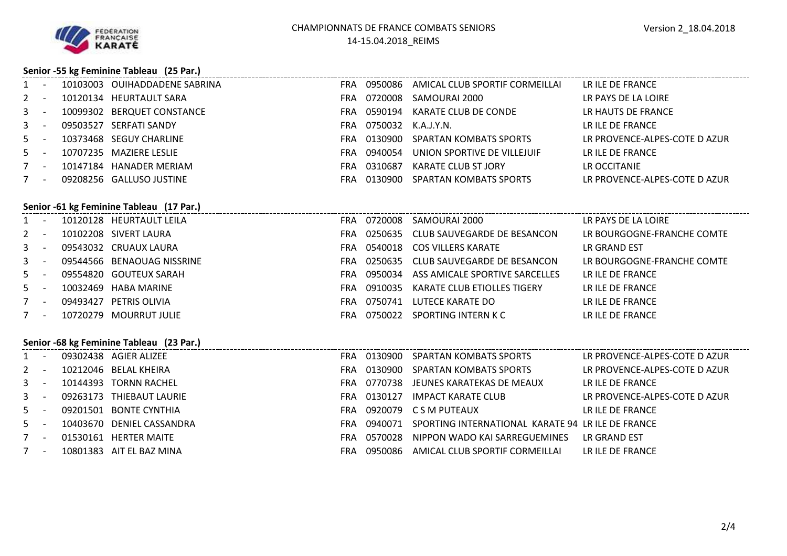

### **Senior -55 kg Feminine Tableau (25 Par.)**

| $1 -$ |  | 10103003 OUIHADDADENE SABRINA |                        | FRA 0950086 AMICAL CLUB SPORTIF CORMEILLAI | LR ILE DE FRANCE              |
|-------|--|-------------------------------|------------------------|--------------------------------------------|-------------------------------|
| $2 -$ |  | 10120134 HEURTAULT SARA       |                        | FRA 0720008 SAMOURAI 2000                  | LR PAYS DE LA LOIRE           |
| $3 -$ |  | 10099302 BERQUET CONSTANCE    |                        | FRA 0590194 KARATE CLUB DE CONDE           | LR HAUTS DE FRANCE            |
| $3 -$ |  | 09503527 SERFATI SANDY        | FRA 0750032 K.A.J.Y.N. |                                            | LR ILE DE FRANCE              |
| $5 -$ |  | 10373468 SEGUY CHARLINE       |                        | FRA 0130900 SPARTAN KOMBATS SPORTS         | LR PROVENCE-ALPES-COTE D AZUR |
| $5 -$ |  | 10707235 MAZIERE LESLIE       |                        | FRA 0940054 UNION SPORTIVE DE VILLEJUIF    | LR ILE DE FRANCE              |
| $7 -$ |  | 10147184 HANADER MERIAM       | FRA 0310687            | KARATE CLUB ST JORY                        | LR OCCITANIE                  |
| $7 -$ |  | 09208256 GALLUSO JUSTINE      |                        | FRA 0130900 SPARTAN KOMBATS SPORTS         | LR PROVENCE-ALPES-COTE D AZUR |

|       | Senior -61 kg Feminine Tableau (17 Par.) |          |                            |     |         |                                        |                            |  |  |  |  |  |
|-------|------------------------------------------|----------|----------------------------|-----|---------|----------------------------------------|----------------------------|--|--|--|--|--|
| $1 -$ |                                          |          | 10120128 HEURTAULT LEILA   | FRA | 0720008 | SAMOURAI 2000                          | LR PAYS DE LA LOIRE        |  |  |  |  |  |
| $2 -$ |                                          |          | 10102208 SIVERT LAURA      | FRA |         | 0250635 CLUB SAUVEGARDE DE BESANCON    | LR BOURGOGNE-FRANCHE COMTE |  |  |  |  |  |
| $3 -$ |                                          |          | 09543032 CRUAUX LAURA      | FRA |         | 0540018 COS VILLERS KARATE             | LR GRAND EST               |  |  |  |  |  |
| $3 -$ |                                          |          | 09544566 BENAOUAG NISSRINE | FRA |         | 0250635 CLUB SAUVEGARDE DE BESANCON    | LR BOURGOGNE-FRANCHE COMTE |  |  |  |  |  |
| $5 -$ |                                          |          | 09554820 GOUTEUX SARAH     | FRA |         | 0950034 ASS AMICALE SPORTIVE SARCELLES | LR ILE DE FRANCE           |  |  |  |  |  |
| $5 -$ |                                          |          | 10032469 HABA MARINE       | FRA | 0910035 | KARATE CLUB ETIOLLES TIGERY            | LR ILE DE FRANCE           |  |  |  |  |  |
| $7 -$ |                                          | 09493427 | PETRIS OLIVIA              | FRA | 0750741 | LUTECE KARATE DO                       | LR ILE DE FRANCE           |  |  |  |  |  |
| $7 -$ |                                          | 10720279 | MOURRUT JULIE              | FRA |         | 0750022 SPORTING INTERN K C            | LR ILE DE FRANCE           |  |  |  |  |  |
|       |                                          |          |                            |     |         |                                        |                            |  |  |  |  |  |

### **Senior -68 kg Feminine Tableau (23 Par.)**

| $1 -$ |  | 09302438 AGIER ALIZEE     | <b>FRA</b> |         | 0130900 SPARTAN KOMBATS SPORTS                                | LR PROVENCE-ALPES-COTE D AZUR |
|-------|--|---------------------------|------------|---------|---------------------------------------------------------------|-------------------------------|
| $2 -$ |  | 10212046 BELAL KHEIRA     | FRA        |         | 0130900 SPARTAN KOMBATS SPORTS                                | LR PROVENCE-ALPES-COTE D AZUR |
| $3 -$ |  | 10144393 TORNN RACHEL     |            |         | FRA 0770738 JEUNES KARATEKAS DE MEAUX                         | LR ILE DE FRANCE              |
| $3 -$ |  | 09263173 THIEBAUT LAURIE  | FRA.       | 0130127 | IMPACT KARATE CLUB                                            | LR PROVENCE-ALPES-COTE D AZUR |
| $5 -$ |  | 09201501 BONTE CYNTHIA    | FRA.       |         | 0920079 CSM PUTEAUX                                           | LR ILE DE FRANCE              |
| $5 -$ |  | 10403670 DENIEL CASSANDRA |            |         | FRA 0940071 SPORTING INTERNATIONAL KARATE 94 LR ILE DE FRANCE |                               |
| $7 -$ |  | 01530161 HERTER MAITE     | FRA.       | 0570028 | NIPPON WADO KAI SARREGUEMINES                                 | LR GRAND FST                  |
| 7 -   |  | 10801383 AIT EL BAZ MINA  | <b>FRA</b> |         | 0950086 AMICAL CLUB SPORTIF CORMEILLAI                        | LR ILE DE FRANCE              |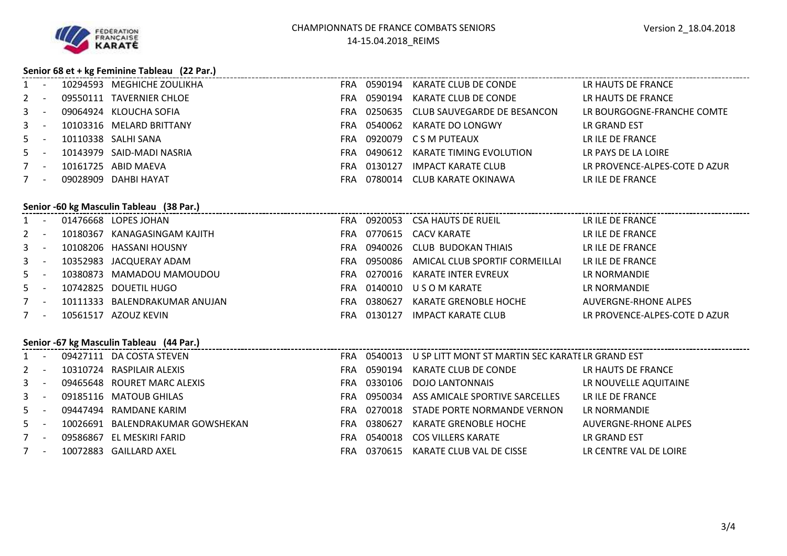

### **Senior 68 et + kg Feminine Tableau (22 Par.)**

| $1 -$ |  | 10294593 MEGHICHE ZOULIKHA | FRA        |         | 0590194 KARATE CLUB DE CONDE | LR HAUTS DE FRANCE            |
|-------|--|----------------------------|------------|---------|------------------------------|-------------------------------|
| $2 -$ |  | 09550111 TAVERNIER CHLOE   | FRA.       | 0590194 | KARATE CLUB DE CONDE         | LR HAUTS DE FRANCE            |
| $3 -$ |  | 09064924 KLOUCHA SOFIA     | FRA.       | 0250635 | CLUB SAUVEGARDE DE BESANCON  | LR BOURGOGNE-FRANCHE COMTE    |
| $3 -$ |  | 10103316 MELARD BRITTANY   | FRA        | 0540062 | KARATE DO LONGWY             | LR GRAND EST                  |
| $5 -$ |  | 10110338 SALHI SANA        | FRA.       |         | 0920079 CSM PUTEAUX          | LR ILE DE FRANCE              |
| $5 -$ |  | 10143979 SAID-MADI NASRIA  | FRA        | 0490612 | KARATE TIMING EVOLUTION      | LR PAYS DE LA LOIRE           |
| $7 -$ |  | 10161725 ABID MAEVA        | FRA.       | 0130127 | IMPACT KARATE CLUB           | LR PROVENCE-ALPES-COTE D AZUR |
| $7 -$ |  | 09028909 DAHBI HAYAT       | <b>FRA</b> | 0780014 | CLUB KARATE OKINAWA          | LR ILE DE FRANCE              |

# **Senior -60 kg Masculin Tableau (38 Par.)**

2

3

3

5

5

7

7

|         | bernor - oo kg iyiascumii rabicau (bo rari) |  |                               |      |         |                                            |                               |  |  |  |  |
|---------|---------------------------------------------|--|-------------------------------|------|---------|--------------------------------------------|-------------------------------|--|--|--|--|
|         |                                             |  | 01476668 LOPES JOHAN          | FRA. |         | 0920053 CSA HAUTS DE RUEIL                 | LR ILE DE FRANCE              |  |  |  |  |
| 2 -     |                                             |  | 10180367 KANAGASINGAM KAJITH  |      |         | FRA 0770615 CACV KARATE                    | LR ILE DE FRANCE              |  |  |  |  |
| $3 - 1$ |                                             |  | 10108206 HASSANI HOUSNY       | FRA. |         | 0940026 CLUB BUDOKAN THIAIS                | LR ILE DE FRANCE              |  |  |  |  |
| 3       |                                             |  | 10352983 JACQUERAY ADAM       |      |         | FRA 0950086 AMICAL CLUB SPORTIF CORMEILLAI | LR ILE DE FRANCE              |  |  |  |  |
| $5 - 5$ |                                             |  | 10380873 MAMADOU MAMOUDOU     |      |         | FRA 0270016 KARATE INTER EVREUX            | LR NORMANDIE                  |  |  |  |  |
| $5 - 5$ |                                             |  | 10742825 DOUETIL HUGO         | FRA  |         | 0140010 USOM KARATE                        | LR NORMANDIE                  |  |  |  |  |
|         |                                             |  | 10111333 BALENDRAKUMAR ANUJAN | FRA. | 0380627 | KARATE GRENOBLE HOCHE                      | AUVERGNE-RHONE ALPES          |  |  |  |  |
|         |                                             |  | 10561517 AZOUZ KEVIN          | FRA. | 0130127 | IMPACT KARATE CLUB                         | LR PROVENCE-ALPES-COTE D AZUR |  |  |  |  |
|         |                                             |  |                               |      |         |                                            |                               |  |  |  |  |

### **Senior -67 kg Masculin Tableau (44 Par.)**

| $1 -$ |  | 09427111 DA COSTA STEVEN         | <b>FRA</b> | 0540013 | U SP LITT MONT ST MARTIN SEC KARATI LR GRAND EST |                        |
|-------|--|----------------------------------|------------|---------|--------------------------------------------------|------------------------|
| $2 -$ |  | 10310724 RASPILAIR ALEXIS        | FRA        | 0590194 | KARATE CLUB DE CONDE                             | LR HAUTS DE FRANCE     |
| $3 -$ |  | 09465648 ROURET MARC ALEXIS      | <b>FRA</b> |         | 0330106 DOJO LANTONNAIS                          | LR NOUVELLE AQUITAINE  |
| $3 -$ |  | 09185116 MATOUB GHILAS           | <b>FRA</b> | 0950034 | ASS AMICALE SPORTIVE SARCELLES                   | LR ILE DE FRANCE       |
| $5 -$ |  | 09447494 RAMDANE KARIM           | <b>FRA</b> | 0270018 | STADE PORTE NORMANDE VERNON                      | LR NORMANDIE           |
| $5 -$ |  | 10026691 BALENDRAKUMAR GOWSHEKAN | <b>FRA</b> | 0380627 | KARATE GRENOBLE HOCHE                            | AUVERGNE-RHONE ALPES   |
| $7 -$ |  | 09586867 EL MESKIRI FARID        | FRA        | 0540018 | COS VILLERS KARATE                               | LR GRAND EST           |
| $7 -$ |  | 10072883 GAILLARD AXEL           | FRA        | 0370615 | KARATE CLUB VAL DE CISSE                         | LR CENTRE VAL DE LOIRE |
|       |  |                                  |            |         |                                                  |                        |